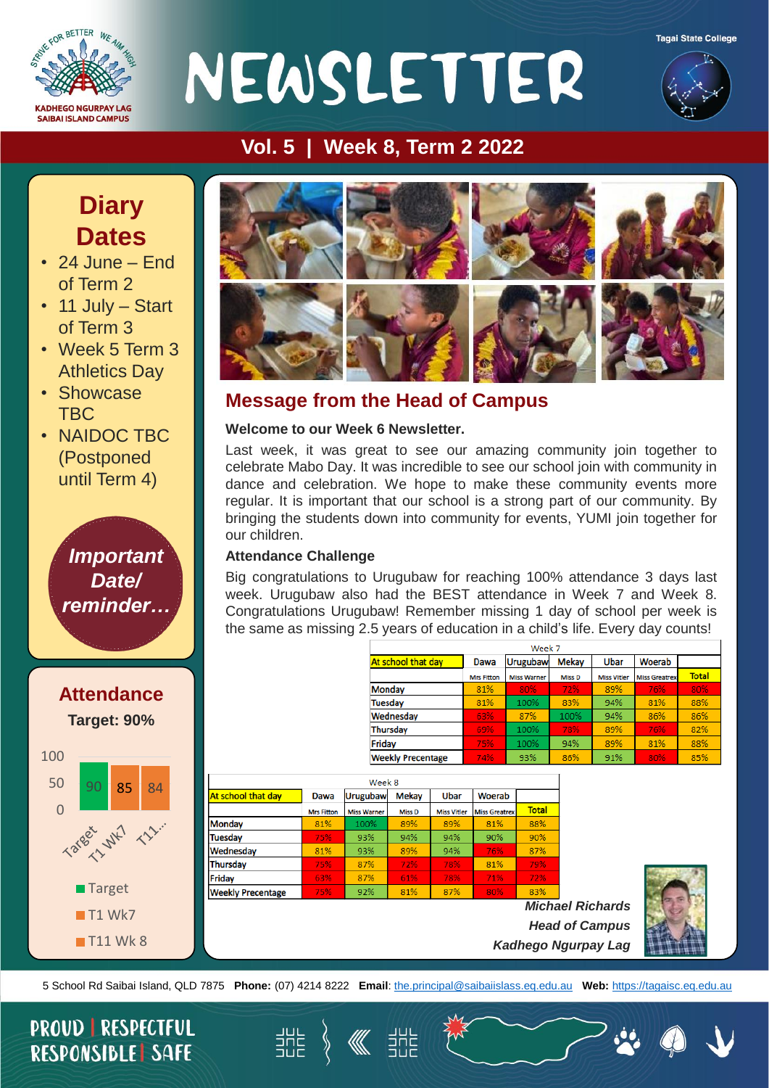

# NEWSLETTER





#### **Vol. 5 | Week 8, Term 2 2022**

### **Diary Dates**

- 24 June End of Term 2
- 11 July Start of Term 3
- Week 5 Term 3 Athletics Day
- Showcase TBC
- NAIDOC TBC (Postponed until Term 4)

*Important Date/ reminder…*





#### **Message from the Head of Campus**

#### **Welcome to our Week 6 Newsletter.**

Last week, it was great to see our amazing community join together to celebrate Mabo Day. It was incredible to see our school join with community in dance and celebration. We hope to make these community events more regular. It is important that our school is a strong part of our community. By bringing the students down into community for events, YUMI join together for our children.

#### **Attendance Challenge**

Big congratulations to Urugubaw for reaching 100% attendance 3 days last week. Urugubaw also had the BEST attendance in Week 7 and Week 8. Congratulations Urugubaw! Remember missing 1 day of school per week is the same as missing 2.5 years of education in a child's life. Every day counts!

| Week 7                   |                   |                    |               |                    |                      |              |  |
|--------------------------|-------------------|--------------------|---------------|--------------------|----------------------|--------------|--|
| At school that day       | Dawa              | <b>Urugubaw</b>    | <b>Mekay</b>  | Ubar               | Woerab               |              |  |
|                          | <b>Mrs Fitton</b> | <b>Miss Warner</b> | <b>Miss D</b> | <b>Miss Vitler</b> | <b>Miss Greatrex</b> | <b>Total</b> |  |
| Monday                   | 81%               | 80%                | 72%           | 89%                | 76%                  | 80%          |  |
| <b>Tuesday</b>           | 81%               | 100%               | 83%           | 94%                | 81%                  | 88%          |  |
| Wednesday                | 63%               | 87%                | 100%          | 94%                | 86%                  | 86%          |  |
| <b>Thursday</b>          | 69%               | 100%               | 78%           | 89%                | 76%                  | 82%          |  |
| Friday                   | 75%               | 100%               | 94%           | 89%                | 81%                  | 88%          |  |
| <b>Weekly Precentage</b> | 74%               | 93%                | 86%           | 91%                | 80%                  | 85%          |  |

| Week 8                   |                   |                    |               |                    |                      |               |  |  |  |  |
|--------------------------|-------------------|--------------------|---------------|--------------------|----------------------|---------------|--|--|--|--|
| At school that day       | <b>Dawa</b>       | <b>Urugubaw</b>    | <b>Mekay</b>  | <b>Ubar</b>        | Woerab               |               |  |  |  |  |
|                          | <b>Mrs Fitton</b> | <b>Miss Warner</b> | <b>Miss D</b> | <b>Miss Vitler</b> | <b>Miss Greatrex</b> | <b>Total</b>  |  |  |  |  |
| <b>Monday</b>            | 81%               | 100%               | 89%           | 89%                | 81%                  | 88%           |  |  |  |  |
| <b>Tuesday</b>           | 75%               | 93%                | 94%           | 94%                | 90%                  | 90%           |  |  |  |  |
| Wednesday                | 81%               | 93%                | 89%           | 94%                | 76%                  | 87%           |  |  |  |  |
| Thursday                 | 75%               | 87%                | 72%           | 78%                | 81%                  | 79%           |  |  |  |  |
| Friday                   | 63%               | 87%                | 61%           | 78%                | 71%                  | 72%           |  |  |  |  |
| <b>Weekly Precentage</b> | 75%               | 92%                | 81%           | 87%                | 80%                  | 83%           |  |  |  |  |
|                          |                   |                    |               |                    |                      | <b>Michae</b> |  |  |  |  |

*Michael Richards Head of Campus Kadhego Ngurpay Lag*



5 School Rd Saibai Island, QLD 7875 **Phone:** (07) 4214 8222 **Email**: [the.principal@saibaiislass.eq.edu.au](mailto:the.principal@saibaiislass.eq.edu.au) **Web:** [https://tagaisc.eq.edu.au](https://tagaisc.eq.edu.au/) 

**KK** SUE

当H는<br>크니든

#### **PROUD | RESPECTFUL RESPONSIBLE SAFE**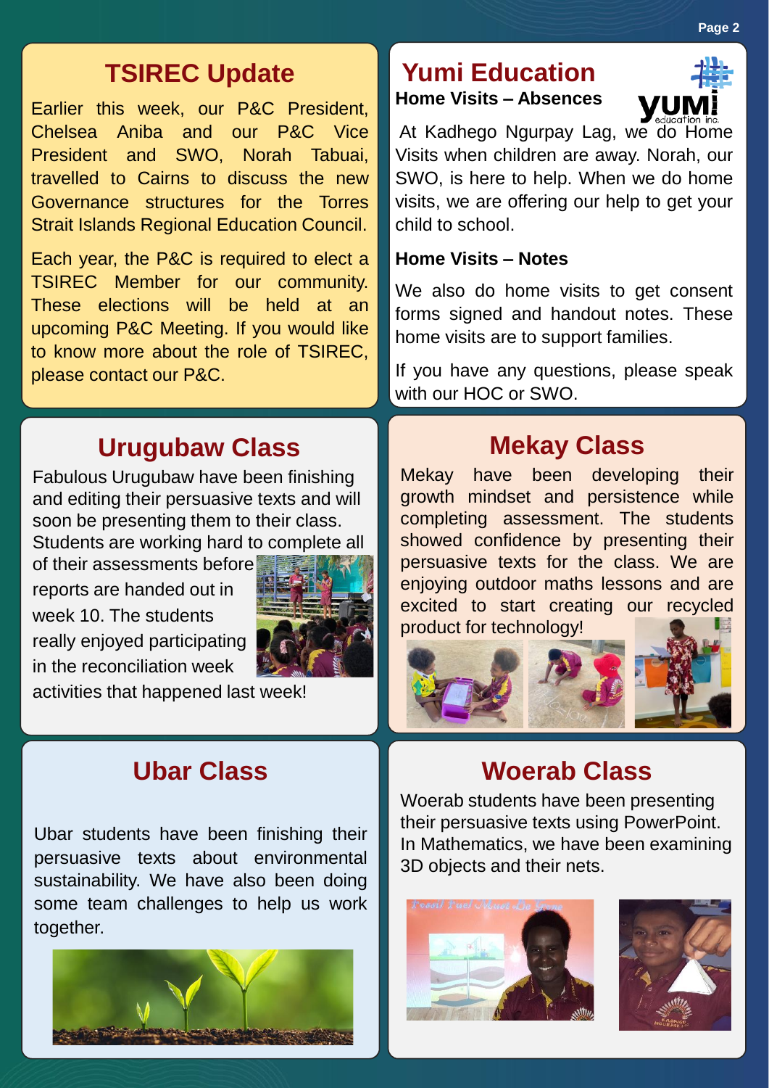#### **Page 2**

#### **TSIREC Update**

Earlier this week, our P&C President, Chelsea Aniba and our P&C Vice President and SWO, Norah Tabuai, travelled to Cairns to discuss the new Governance structures for the Torres Strait Islands Regional Education Council.

Each year, the P&C is required to elect a TSIREC Member for our community. These elections will be held at an upcoming P&C Meeting. If you would like to know more about the role of TSIREC, please contact our P&C.

#### **Urugubaw Class**

Fabulous Urugubaw have been finishing and editing their persuasive texts and will soon be presenting them to their class. Students are working hard to complete all

of their assessments before reports are handed out in week 10. The students really enjoyed participating in the reconciliation week



activities that happened last week!

#### **Ubar Class**

Ubar students have been finishing their persuasive texts about environmental sustainability. We have also been doing some team challenges to help us work together.



#### **Yumi Education Home Visits – Absences**



At Kadhego Ngurpay Lag, we do Home Visits when children are away. Norah, our SWO, is here to help. When we do home visits, we are offering our help to get your child to school.

#### **Home Visits – Notes**

We also do home visits to get consent forms signed and handout notes. These home visits are to support families.

If you have any questions, please speak with our HOC or SWO.

#### **Mekay Class**

Mekay have been developing their growth mindset and persistence while completing assessment. The students showed confidence by presenting their persuasive texts for the class. We are enjoying outdoor maths lessons and are excited to start creating our recycled product for technology!



#### **Woerab Class**

Woerab students have been presenting their persuasive texts using PowerPoint. In Mathematics, we have been examining 3D objects and their nets.



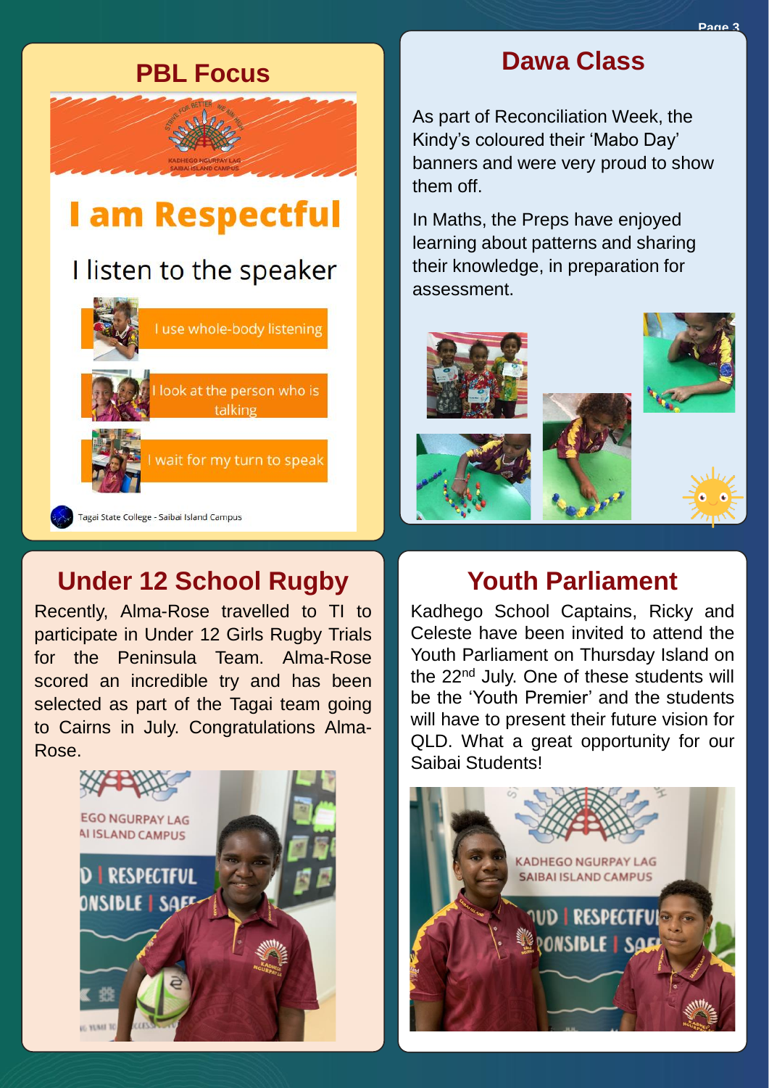

#### **Under 12 School Rugby**

Recently, Alma-Rose travelled to TI to participate in Under 12 Girls Rugby Trials for the Peninsula Team. Alma-Rose scored an incredible try and has been selected as part of the Tagai team going to Cairns in July. Congratulations Alma-Rose.



#### **PBL Focus Dawa Class**

As part of Reconciliation Week, the Kindy's coloured their 'Mabo Day' banners and were very proud to show them off.

In Maths, the Preps have enjoyed learning about patterns and sharing their knowledge, in preparation for assessment.



#### **Youth Parliament**

Kadhego School Captains, Ricky and Celeste have been invited to attend the Youth Parliament on Thursday Island on the 22nd July. One of these students will be the 'Youth Premier' and the students will have to present their future vision for QLD. What a great opportunity for our Saibai Students!